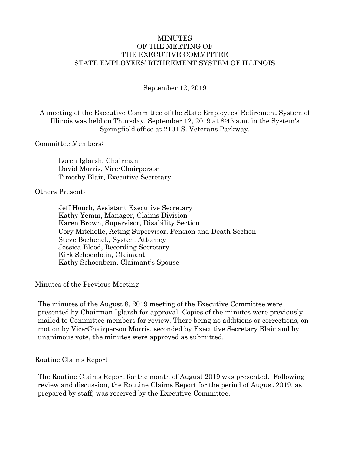## MINUTES OF THE MEETING OF THE EXECUTIVE COMMITTEE STATE EMPLOYEES' RETIREMENT SYSTEM OF ILLINOIS

September 12, 2019

A meeting of the Executive Committee of the State Employees' Retirement System of Illinois was held on Thursday, September 12, 2019 at 8:45 a.m. in the System's Springfield office at 2101 S. Veterans Parkway.

Committee Members:

Loren Iglarsh, Chairman David Morris, Vice-Chairperson Timothy Blair, Executive Secretary

Others Present:

Jeff Houch, Assistant Executive Secretary Kathy Yemm, Manager, Claims Division Karen Brown, Supervisor, Disability Section Cory Mitchelle, Acting Supervisor, Pension and Death Section Steve Bochenek, System Attorney Jessica Blood, Recording Secretary Kirk Schoenbein, Claimant Kathy Schoenbein, Claimant's Spouse

### Minutes of the Previous Meeting

The minutes of the August 8, 2019 meeting of the Executive Committee were presented by Chairman Iglarsh for approval. Copies of the minutes were previously mailed to Committee members for review. There being no additions or corrections, on motion by Vice-Chairperson Morris, seconded by Executive Secretary Blair and by unanimous vote, the minutes were approved as submitted.

### Routine Claims Report

The Routine Claims Report for the month of August 2019 was presented. Following review and discussion, the Routine Claims Report for the period of August 2019, as prepared by staff, was received by the Executive Committee.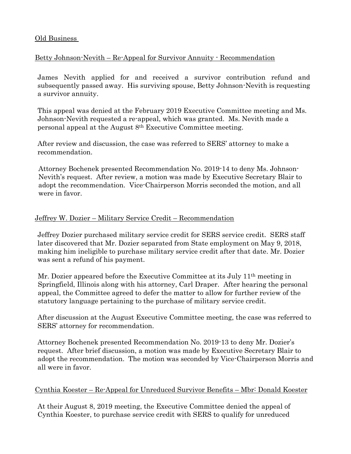# Old Business

# Betty Johnson-Nevith – Re-Appeal for Survivor Annuity - Recommendation

James Nevith applied for and received a survivor contribution refund and subsequently passed away. His surviving spouse, Betty Johnson-Nevith is requesting a survivor annuity.

This appeal was denied at the February 2019 Executive Committee meeting and Ms. Johnson-Nevith requested a re-appeal, which was granted. Ms. Nevith made a personal appeal at the August 8th Executive Committee meeting.

After review and discussion, the case was referred to SERS' attorney to make a recommendation.

Attorney Bochenek presented Recommendation No. 2019-14 to deny Ms. Johnson-Nevith's request. After review, a motion was made by Executive Secretary Blair to adopt the recommendation. Vice-Chairperson Morris seconded the motion, and all were in favor.

# Jeffrey W. Dozier – Military Service Credit – Recommendation

Jeffrey Dozier purchased military service credit for SERS service credit. SERS staff later discovered that Mr. Dozier separated from State employment on May 9, 2018, making him ineligible to purchase military service credit after that date. Mr. Dozier was sent a refund of his payment.

Mr. Dozier appeared before the Executive Committee at its July 11th meeting in Springfield, Illinois along with his attorney, Carl Draper. After hearing the personal appeal, the Committee agreed to defer the matter to allow for further review of the statutory language pertaining to the purchase of military service credit.

After discussion at the August Executive Committee meeting, the case was referred to SERS' attorney for recommendation.

Attorney Bochenek presented Recommendation No. 2019-13 to deny Mr. Dozier's request. After brief discussion, a motion was made by Executive Secretary Blair to adopt the recommendation. The motion was seconded by Vice-Chairperson Morris and all were in favor.

## Cynthia Koester – Re-Appeal for Unreduced Survivor Benefits – Mbr: Donald Koester

At their August 8, 2019 meeting, the Executive Committee denied the appeal of Cynthia Koester, to purchase service credit with SERS to qualify for unreduced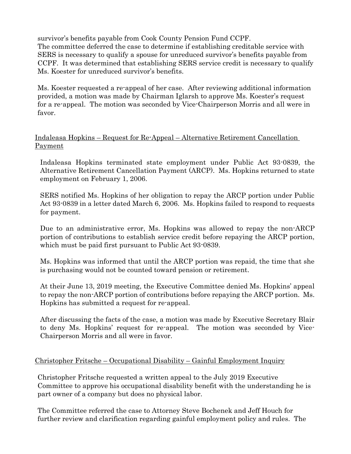survivor's benefits payable from Cook County Pension Fund CCPF. The committee deferred the case to determine if establishing creditable service with SERS is necessary to qualify a spouse for unreduced survivor's benefits payable from CCPF. It was determined that establishing SERS service credit is necessary to qualify Ms. Koester for unreduced survivor's benefits.

Ms. Koester requested a re-appeal of her case. After reviewing additional information provided, a motion was made by Chairman Iglarsh to approve Ms. Koester's request for a re-appeal. The motion was seconded by Vice-Chairperson Morris and all were in favor.

# Indaleasa Hopkins – Request for Re-Appeal – Alternative Retirement Cancellation Payment

Indaleasa Hopkins terminated state employment under Public Act 93-0839, the Alternative Retirement Cancellation Payment (ARCP). Ms. Hopkins returned to state employment on February 1, 2006.

SERS notified Ms. Hopkins of her obligation to repay the ARCP portion under Public Act 93-0839 in a letter dated March 6, 2006. Ms. Hopkins failed to respond to requests for payment.

Due to an administrative error, Ms. Hopkins was allowed to repay the non-ARCP portion of contributions to establish service credit before repaying the ARCP portion, which must be paid first pursuant to Public Act 93-0839.

Ms. Hopkins was informed that until the ARCP portion was repaid, the time that she is purchasing would not be counted toward pension or retirement.

At their June 13, 2019 meeting, the Executive Committee denied Ms. Hopkins' appeal to repay the non-ARCP portion of contributions before repaying the ARCP portion. Ms. Hopkins has submitted a request for re-appeal.

After discussing the facts of the case, a motion was made by Executive Secretary Blair to deny Ms. Hopkins' request for re-appeal. The motion was seconded by Vice-Chairperson Morris and all were in favor.

# Christopher Fritsche – Occupational Disability – Gainful Employment Inquiry

Christopher Fritsche requested a written appeal to the July 2019 Executive Committee to approve his occupational disability benefit with the understanding he is part owner of a company but does no physical labor.

The Committee referred the case to Attorney Steve Bochenek and Jeff Houch for further review and clarification regarding gainful employment policy and rules. The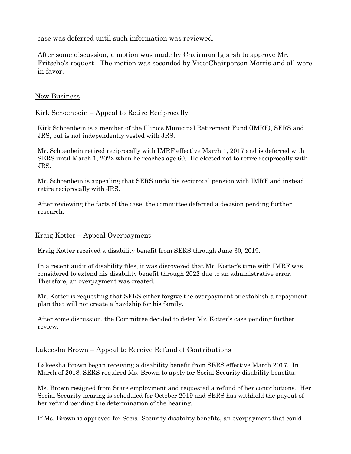case was deferred until such information was reviewed.

After some discussion, a motion was made by Chairman Iglarsh to approve Mr. Fritsche's request. The motion was seconded by Vice-Chairperson Morris and all were in favor.

## New Business

## Kirk Schoenbein – Appeal to Retire Reciprocally

Kirk Schoenbein is a member of the Illinois Municipal Retirement Fund (IMRF), SERS and JRS, but is not independently vested with JRS.

Mr. Schoenbein retired reciprocally with IMRF effective March 1, 2017 and is deferred with SERS until March 1, 2022 when he reaches age 60. He elected not to retire reciprocally with JRS.

Mr. Schoenbein is appealing that SERS undo his reciprocal pension with IMRF and instead retire reciprocally with JRS.

After reviewing the facts of the case, the committee deferred a decision pending further research.

### Kraig Kotter – Appeal Overpayment

Kraig Kotter received a disability benefit from SERS through June 30, 2019.

In a recent audit of disability files, it was discovered that Mr. Kotter's time with IMRF was considered to extend his disability benefit through 2022 due to an administrative error. Therefore, an overpayment was created.

Mr. Kotter is requesting that SERS either forgive the overpayment or establish a repayment plan that will not create a hardship for his family.

After some discussion, the Committee decided to defer Mr. Kotter's case pending further review.

### Lakeesha Brown – Appeal to Receive Refund of Contributions

Lakeesha Brown began receiving a disability benefit from SERS effective March 2017. In March of 2018, SERS required Ms. Brown to apply for Social Security disability benefits.

Ms. Brown resigned from State employment and requested a refund of her contributions. Her Social Security hearing is scheduled for October 2019 and SERS has withheld the payout of her refund pending the determination of the hearing.

If Ms. Brown is approved for Social Security disability benefits, an overpayment that could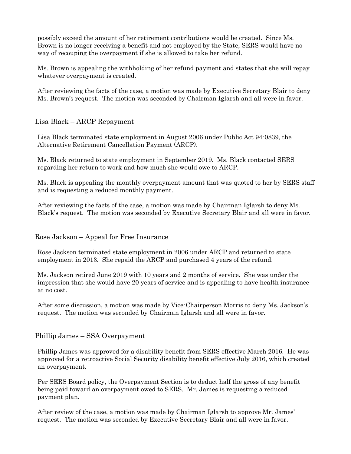possibly exceed the amount of her retirement contributions would be created. Since Ms. Brown is no longer receiving a benefit and not employed by the State, SERS would have no way of recouping the overpayment if she is allowed to take her refund.

Ms. Brown is appealing the withholding of her refund payment and states that she will repay whatever overpayment is created.

After reviewing the facts of the case, a motion was made by Executive Secretary Blair to deny Ms. Brown's request. The motion was seconded by Chairman Iglarsh and all were in favor.

## Lisa Black – ARCP Repayment

Lisa Black terminated state employment in August 2006 under Public Act 94-0839, the Alternative Retirement Cancellation Payment (ARCP).

Ms. Black returned to state employment in September 2019. Ms. Black contacted SERS regarding her return to work and how much she would owe to ARCP.

Ms. Black is appealing the monthly overpayment amount that was quoted to her by SERS staff and is requesting a reduced monthly payment.

After reviewing the facts of the case, a motion was made by Chairman Iglarsh to deny Ms. Black's request. The motion was seconded by Executive Secretary Blair and all were in favor.

### Rose Jackson – Appeal for Free Insurance

Rose Jackson terminated state employment in 2006 under ARCP and returned to state employment in 2013. She repaid the ARCP and purchased 4 years of the refund.

Ms. Jackson retired June 2019 with 10 years and 2 months of service. She was under the impression that she would have 20 years of service and is appealing to have health insurance at no cost.

After some discussion, a motion was made by Vice-Chairperson Morris to deny Ms. Jackson's request. The motion was seconded by Chairman Iglarsh and all were in favor.

### Phillip James – SSA Overpayment

Phillip James was approved for a disability benefit from SERS effective March 2016. He was approved for a retroactive Social Security disability benefit effective July 2016, which created an overpayment.

Per SERS Board policy, the Overpayment Section is to deduct half the gross of any benefit being paid toward an overpayment owed to SERS. Mr. James is requesting a reduced payment plan.

After review of the case, a motion was made by Chairman Iglarsh to approve Mr. James' request. The motion was seconded by Executive Secretary Blair and all were in favor.